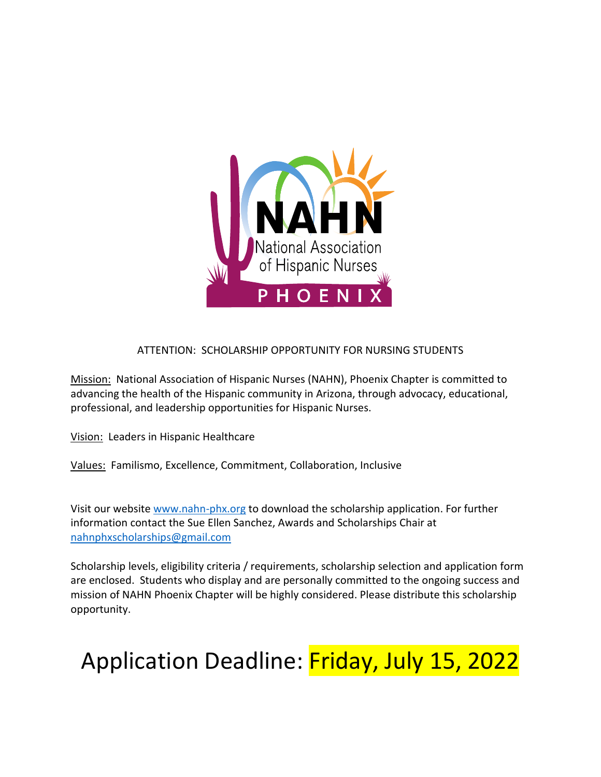

# ATTENTION: SCHOLARSHIP OPPORTUNITY FOR NURSING STUDENTS

Mission: National Association of Hispanic Nurses (NAHN), Phoenix Chapter is committed to advancing the health of the Hispanic community in Arizona, through advocacy, educational, professional, and leadership opportunities for Hispanic Nurses.

Vision: Leaders in Hispanic Healthcare

Values: Familismo, Excellence, Commitment, Collaboration, Inclusive

Visit our website [www.nahn-phx.org](http://www.nahn-phx.org/) to download the scholarship application. For further information contact the Sue Ellen Sanchez, Awards and Scholarships Chair at [nahnphxscholarships@gmail.com](mailto:nahnphxscholarships@gmail.com)

Scholarship levels, eligibility criteria / requirements, scholarship selection and application form are enclosed. Students who display and are personally committed to the ongoing success and mission of NAHN Phoenix Chapter will be highly considered. Please distribute this scholarship opportunity.

# Application Deadline: Friday, July 15, 2022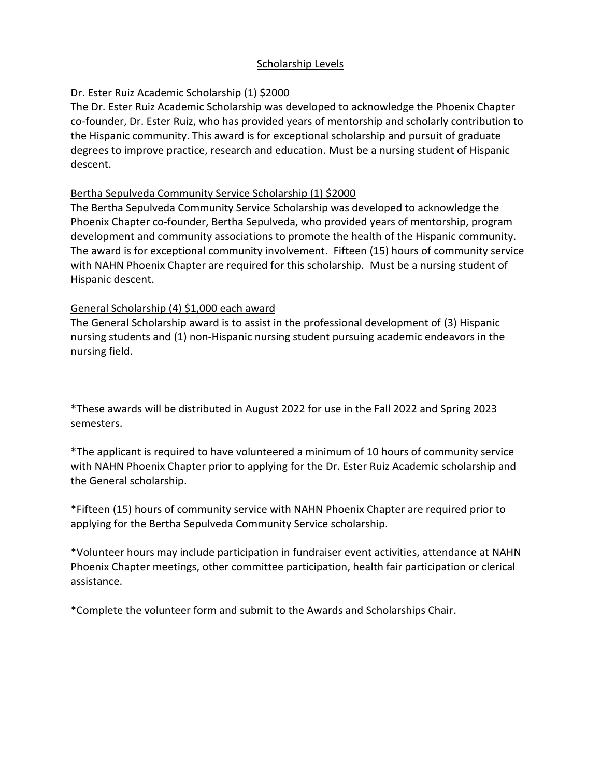## Scholarship Levels

# Dr. Ester Ruiz Academic Scholarship (1) \$2000

The Dr. Ester Ruiz Academic Scholarship was developed to acknowledge the Phoenix Chapter co-founder, Dr. Ester Ruiz, who has provided years of mentorship and scholarly contribution to the Hispanic community. This award is for exceptional scholarship and pursuit of graduate degrees to improve practice, research and education. Must be a nursing student of Hispanic descent.

## Bertha Sepulveda Community Service Scholarship (1) \$2000

The Bertha Sepulveda Community Service Scholarship was developed to acknowledge the Phoenix Chapter co-founder, Bertha Sepulveda, who provided years of mentorship, program development and community associations to promote the health of the Hispanic community. The award is for exceptional community involvement. Fifteen (15) hours of community service with NAHN Phoenix Chapter are required for this scholarship. Must be a nursing student of Hispanic descent.

## General Scholarship (4) \$1,000 each award

The General Scholarship award is to assist in the professional development of (3) Hispanic nursing students and (1) non-Hispanic nursing student pursuing academic endeavors in the nursing field.

\*These awards will be distributed in August 2022 for use in the Fall 2022 and Spring 2023 semesters.

\*The applicant is required to have volunteered a minimum of 10 hours of community service with NAHN Phoenix Chapter prior to applying for the Dr. Ester Ruiz Academic scholarship and the General scholarship.

\*Fifteen (15) hours of community service with NAHN Phoenix Chapter are required prior to applying for the Bertha Sepulveda Community Service scholarship.

\*Volunteer hours may include participation in fundraiser event activities, attendance at NAHN Phoenix Chapter meetings, other committee participation, health fair participation or clerical assistance.

\*Complete the volunteer form and submit to the Awards and Scholarships Chair.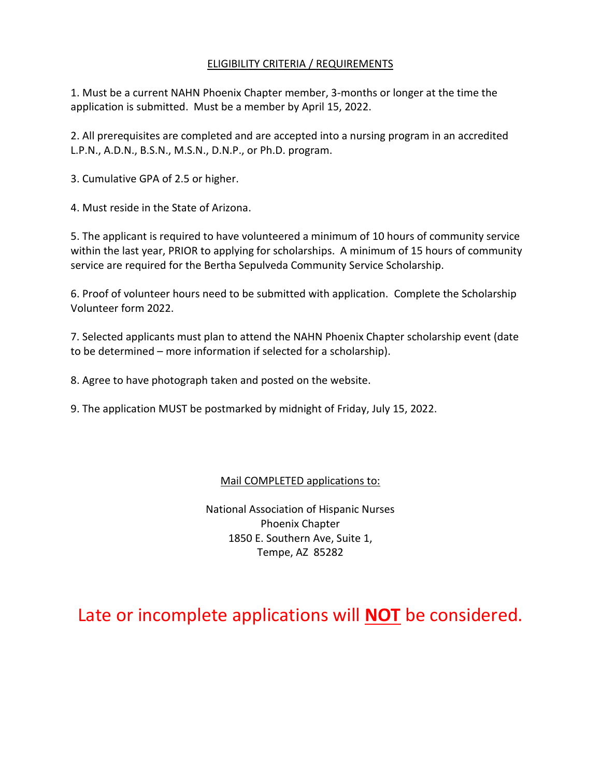#### ELIGIBILITY CRITERIA / REQUIREMENTS

1. Must be a current NAHN Phoenix Chapter member, 3-months or longer at the time the application is submitted. Must be a member by April 15, 2022.

2. All prerequisites are completed and are accepted into a nursing program in an accredited L.P.N., A.D.N., B.S.N., M.S.N., D.N.P., or Ph.D. program.

3. Cumulative GPA of 2.5 or higher.

4. Must reside in the State of Arizona.

5. The applicant is required to have volunteered a minimum of 10 hours of community service within the last year, PRIOR to applying for scholarships. A minimum of 15 hours of community service are required for the Bertha Sepulveda Community Service Scholarship.

6. Proof of volunteer hours need to be submitted with application. Complete the Scholarship Volunteer form 2022.

7. Selected applicants must plan to attend the NAHN Phoenix Chapter scholarship event (date to be determined – more information if selected for a scholarship).

8. Agree to have photograph taken and posted on the website.

9. The application MUST be postmarked by midnight of Friday, July 15, 2022.

## Mail COMPLETED applications to:

National Association of Hispanic Nurses Phoenix Chapter 1850 E. Southern Ave, Suite 1, Tempe, AZ 85282

Late or incomplete applications will **NOT** be considered.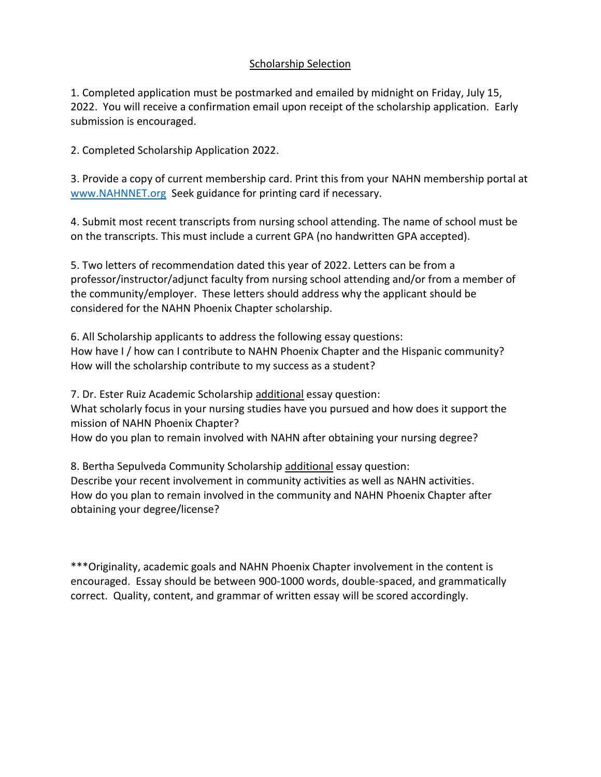#### Scholarship Selection

1. Completed application must be postmarked and emailed by midnight on Friday, July 15, 2022. You will receive a confirmation email upon receipt of the scholarship application. Early submission is encouraged.

2. Completed Scholarship Application 2022.

3. Provide a copy of current membership card. Print this from your NAHN membership portal at [www.NAHNNET.org](http://www.nahnnet.org/) Seek guidance for printing card if necessary.

4. Submit most recent transcripts from nursing school attending. The name of school must be on the transcripts. This must include a current GPA (no handwritten GPA accepted).

5. Two letters of recommendation dated this year of 2022. Letters can be from a professor/instructor/adjunct faculty from nursing school attending and/or from a member of the community/employer. These letters should address why the applicant should be considered for the NAHN Phoenix Chapter scholarship.

6. All Scholarship applicants to address the following essay questions: How have I / how can I contribute to NAHN Phoenix Chapter and the Hispanic community? How will the scholarship contribute to my success as a student?

7. Dr. Ester Ruiz Academic Scholarship additional essay question: What scholarly focus in your nursing studies have you pursued and how does it support the mission of NAHN Phoenix Chapter? How do you plan to remain involved with NAHN after obtaining your nursing degree?

8. Bertha Sepulveda Community Scholarship additional essay question: Describe your recent involvement in community activities as well as NAHN activities. How do you plan to remain involved in the community and NAHN Phoenix Chapter after obtaining your degree/license?

\*\*\*Originality, academic goals and NAHN Phoenix Chapter involvement in the content is encouraged. Essay should be between 900-1000 words, double-spaced, and grammatically correct. Quality, content, and grammar of written essay will be scored accordingly.